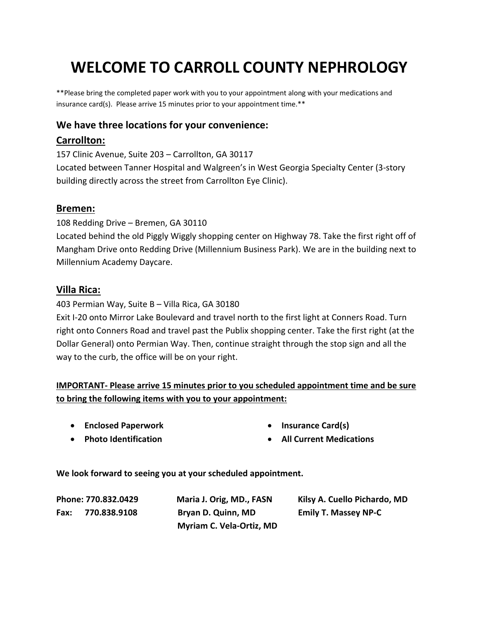# **WELCOME TO CARROLL COUNTY NEPHROLOGY**

\*\*Please bring the completed paper work with you to your appointment along with your medications and insurance card(s). Please arrive 15 minutes prior to your appointment time.\*\*

#### **We have three locations for your convenience:**

#### **Carrollton:**

157 Clinic Avenue, Suite 203 – Carrollton, GA 30117 Located between Tanner Hospital and Walgreen's in West Georgia Specialty Center (3-story building directly across the street from Carrollton Eye Clinic).

#### **Bremen:**

108 Redding Drive – Bremen, GA 30110 Located behind the old Piggly Wiggly shopping center on Highway 78. Take the first right off of Mangham Drive onto Redding Drive (Millennium Business Park). We are in the building next to Millennium Academy Daycare.

#### **Villa Rica:**

403 Permian Way, Suite B – Villa Rica, GA 30180

Exit I-20 onto Mirror Lake Boulevard and travel north to the first light at Conners Road. Turn right onto Conners Road and travel past the Publix shopping center. Take the first right (at the Dollar General) onto Permian Way. Then, continue straight through the stop sign and all the way to the curb, the office will be on your right.

#### **IMPORTANT- Please arrive 15 minutes prior to you scheduled appointment time and be sure to bring the following items with you to your appointment:**

• **Enclosed Paperwork**

• **Insurance Card(s)**

• **Photo Identification**

• **All Current Medications** 

**We look forward to seeing you at your scheduled appointment.**

**Fax: 770.838.9108 Bryan D. Quinn, MD Emily T. Massey NP-C Myriam C. Vela-Ortiz, MD**

**Phone: 770.832.0429 Maria J. Orig, MD., FASN Kilsy A. Cuello Pichardo, MD**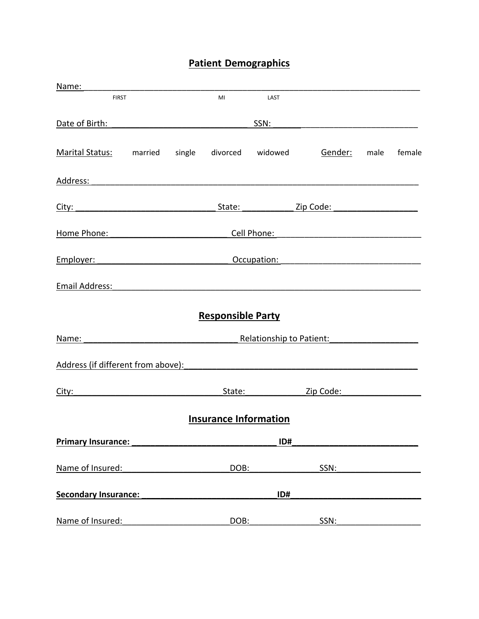# **Patient Demographics**

| Name:                                                                                                                                                                                                                         |                                                     |                              |                                                                                                                                                                                                                                |                                                                                                       |      |        |
|-------------------------------------------------------------------------------------------------------------------------------------------------------------------------------------------------------------------------------|-----------------------------------------------------|------------------------------|--------------------------------------------------------------------------------------------------------------------------------------------------------------------------------------------------------------------------------|-------------------------------------------------------------------------------------------------------|------|--------|
| <b>FIRST</b>                                                                                                                                                                                                                  |                                                     | MI                           | LAST                                                                                                                                                                                                                           |                                                                                                       |      |        |
| Date of Birth:                                                                                                                                                                                                                |                                                     |                              | SSN:                                                                                                                                                                                                                           |                                                                                                       |      |        |
| Marital Status: married                                                                                                                                                                                                       | single                                              | divorced widowed             |                                                                                                                                                                                                                                | Gender:                                                                                               | male | female |
|                                                                                                                                                                                                                               |                                                     |                              |                                                                                                                                                                                                                                |                                                                                                       |      |        |
|                                                                                                                                                                                                                               |                                                     |                              |                                                                                                                                                                                                                                | State: <u>Zip Code:</u> Zip Code:                                                                     |      |        |
| Home Phone:                                                                                                                                                                                                                   |                                                     |                              | Cell Phone:                                                                                                                                                                                                                    | <u> 1980 - Jan Barbarat, manazarta da kasas da shekara 1980 - Ang Barbarat ng Barbara ng Barbara</u>  |      |        |
|                                                                                                                                                                                                                               | Employer: Employer:                                 |                              |                                                                                                                                                                                                                                |                                                                                                       |      |        |
| Email Address:                                                                                                                                                                                                                |                                                     |                              |                                                                                                                                                                                                                                |                                                                                                       |      |        |
|                                                                                                                                                                                                                               |                                                     | <b>Responsible Party</b>     |                                                                                                                                                                                                                                |                                                                                                       |      |        |
| Name:                                                                                                                                                                                                                         |                                                     | Relationship to Patient:     |                                                                                                                                                                                                                                |                                                                                                       |      |        |
| Address (if different from above):                                                                                                                                                                                            |                                                     |                              |                                                                                                                                                                                                                                |                                                                                                       |      |        |
| City: City: City: City: City: City: City: City: City: City: City: City: City: City: City: City: City: City: City: City: City: City: City: City: City: City: City: City: City: City: City: City: City: City: City: City: City: |                                                     |                              | State: and the state of the state of the state of the state of the state of the state of the state of the state of the state of the state of the state of the state of the state of the state of the state of the state of the | Zip Code: National Code: National Code: National Code: National Code: National Code: National Code: N |      |        |
|                                                                                                                                                                                                                               |                                                     | <b>Insurance Information</b> |                                                                                                                                                                                                                                |                                                                                                       |      |        |
|                                                                                                                                                                                                                               | <b>Primary Insurance: Primary Insurance:</b><br>ID# |                              |                                                                                                                                                                                                                                |                                                                                                       |      |        |
| Name of Insured:                                                                                                                                                                                                              |                                                     | DOB:                         |                                                                                                                                                                                                                                | SSN:                                                                                                  |      |        |
|                                                                                                                                                                                                                               |                                                     |                              | ID#                                                                                                                                                                                                                            |                                                                                                       |      |        |
| Name of Insured:                                                                                                                                                                                                              |                                                     | DOB:                         |                                                                                                                                                                                                                                | SSN:                                                                                                  |      |        |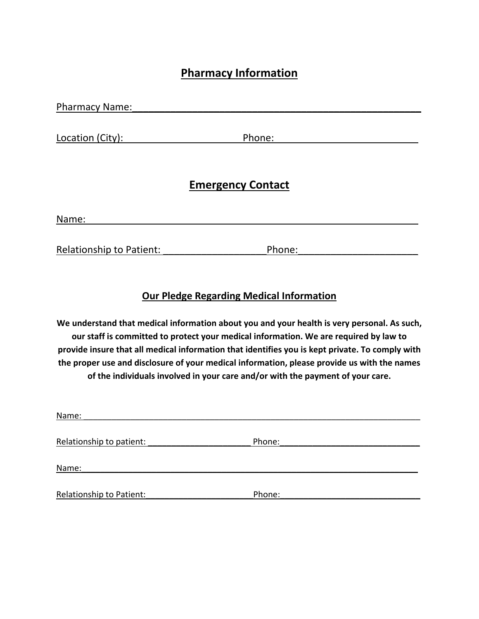# **Pharmacy Information**

| <b>Pharmacy Name:</b> |                          |  |
|-----------------------|--------------------------|--|
|                       |                          |  |
| Location (City):      | Phone:                   |  |
|                       |                          |  |
|                       |                          |  |
|                       | <b>Emergency Contact</b> |  |
|                       |                          |  |
|                       |                          |  |

Name: www.community.community.community.community.community.community.com

Relationship to Patient: The Phone:

### **Our Pledge Regarding Medical Information**

**We understand that medical information about you and your health is very personal. As such, our staff is committed to protect your medical information. We are required by law to provide insure that all medical information that identifies you is kept private. To comply with the proper use and disclosure of your medical information, please provide us with the names of the individuals involved in your care and/or with the payment of your care.**

| Name:                           |        |
|---------------------------------|--------|
| Relationship to patient:        | Phone: |
| Name:                           |        |
| <b>Relationship to Patient:</b> | Phone: |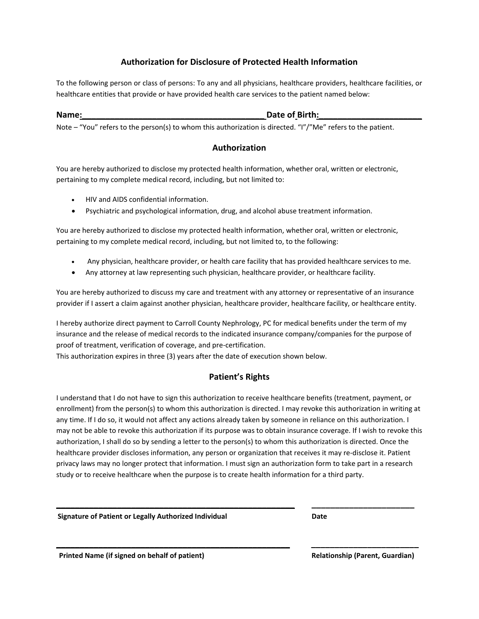#### **Authorization for Disclosure of Protected Health Information**

To the following person or class of persons: To any and all physicians, healthcare providers, healthcare facilities, or healthcare entities that provide or have provided health care services to the patient named below:

#### **Name: Contained a Contained A Contained A Contained A Contained A Contained A Contained A Contained A Contained A Contained A Contained A Contained A Contained A Contained A Contained A Contained A Contained A Contained**

Note – "You" refers to the person(s) to whom this authorization is directed. "I"/"Me" refers to the patient.

#### **Authorization**

You are hereby authorized to disclose my protected health information, whether oral, written or electronic, pertaining to my complete medical record, including, but not limited to:

- HIV and AIDS confidential information.
- Psychiatric and psychological information, drug, and alcohol abuse treatment information.

You are hereby authorized to disclose my protected health information, whether oral, written or electronic, pertaining to my complete medical record, including, but not limited to, to the following:

- Any physician, healthcare provider, or health care facility that has provided healthcare services to me.
- Any attorney at law representing such physician, healthcare provider, or healthcare facility.

You are hereby authorized to discuss my care and treatment with any attorney or representative of an insurance provider if I assert a claim against another physician, healthcare provider, healthcare facility, or healthcare entity.

I hereby authorize direct payment to Carroll County Nephrology, PC for medical benefits under the term of my insurance and the release of medical records to the indicated insurance company/companies for the purpose of proof of treatment, verification of coverage, and pre-certification.

This authorization expires in three (3) years after the date of execution shown below.

#### **Patient's Rights**

I understand that I do not have to sign this authorization to receive healthcare benefits (treatment, payment, or enrollment) from the person(s) to whom this authorization is directed. I may revoke this authorization in writing at any time. If I do so, it would not affect any actions already taken by someone in reliance on this authorization. I may not be able to revoke this authorization if its purpose was to obtain insurance coverage. If I wish to revoke this authorization, I shall do so by sending a letter to the person(s) to whom this authorization is directed. Once the healthcare provider discloses information, any person or organization that receives it may re-disclose it. Patient privacy laws may no longer protect that information. I must sign an authorization form to take part in a research study or to receive healthcare when the purpose is to create health information for a third party.

**\_\_\_\_\_\_\_\_\_\_\_\_\_\_\_\_\_\_\_\_\_\_\_\_\_\_\_\_\_\_\_\_\_\_\_\_\_\_\_\_\_\_\_\_\_\_\_\_\_\_\_ \_\_\_\_\_\_\_\_\_\_\_\_\_\_\_\_\_\_\_\_\_\_**

**\_\_\_\_\_\_\_\_\_\_\_\_\_\_\_\_\_\_\_\_\_\_\_\_\_\_\_\_\_\_\_\_\_\_\_\_\_\_\_\_\_\_\_\_\_\_\_\_\_\_ \_\_\_\_\_\_\_\_\_\_\_\_\_\_\_\_\_\_\_\_\_\_\_**

**Signature of Patient or Legally Authorized Individual Communisty Contracts** Date

Printed Name (if signed on behalf of patient) **Relationship (Parent, Guardian)**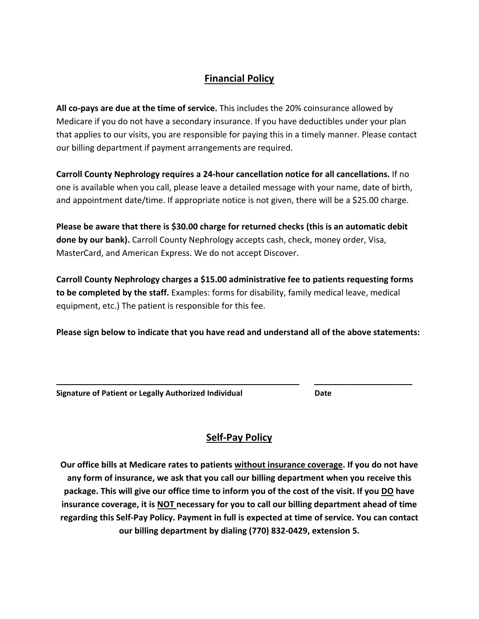## **Financial Policy**

**All co-pays are due at the time of service.** This includes the 20% coinsurance allowed by Medicare if you do not have a secondary insurance. If you have deductibles under your plan that applies to our visits, you are responsible for paying this in a timely manner. Please contact our billing department if payment arrangements are required.

**Carroll County Nephrology requires a 24-hour cancellation notice for all cancellations.** If no one is available when you call, please leave a detailed message with your name, date of birth, and appointment date/time. If appropriate notice is not given, there will be a \$25.00 charge.

**Please be aware that there is \$30.00 charge for returned checks (this is an automatic debit done by our bank).** Carroll County Nephrology accepts cash, check, money order, Visa, MasterCard, and American Express. We do not accept Discover.

**Carroll County Nephrology charges a \$15.00 administrative fee to patients requesting forms to be completed by the staff.** Examples: forms for disability, family medical leave, medical equipment, etc.) The patient is responsible for this fee.

**Please sign below to indicate that you have read and understand all of the above statements:**

**\_\_\_\_\_\_\_\_\_\_\_\_\_\_\_\_\_\_\_\_\_\_\_\_\_\_\_\_\_\_\_\_\_\_\_\_\_\_\_\_\_\_\_\_\_\_\_\_\_\_\_\_ \_\_\_\_\_\_\_\_\_\_\_\_\_\_\_\_\_\_\_\_\_** 

| Signature of Patient or Legally Authorized Individual | Date |
|-------------------------------------------------------|------|
|                                                       |      |

## **Self-Pay Policy**

**Our office bills at Medicare rates to patients without insurance coverage. If you do not have any form of insurance, we ask that you call our billing department when you receive this package. This will give our office time to inform you of the cost of the visit. If you DO have insurance coverage, it is NOT necessary for you to call our billing department ahead of time regarding this Self-Pay Policy. Payment in full is expected at time of service. You can contact our billing department by dialing (770) 832-0429, extension 5.**